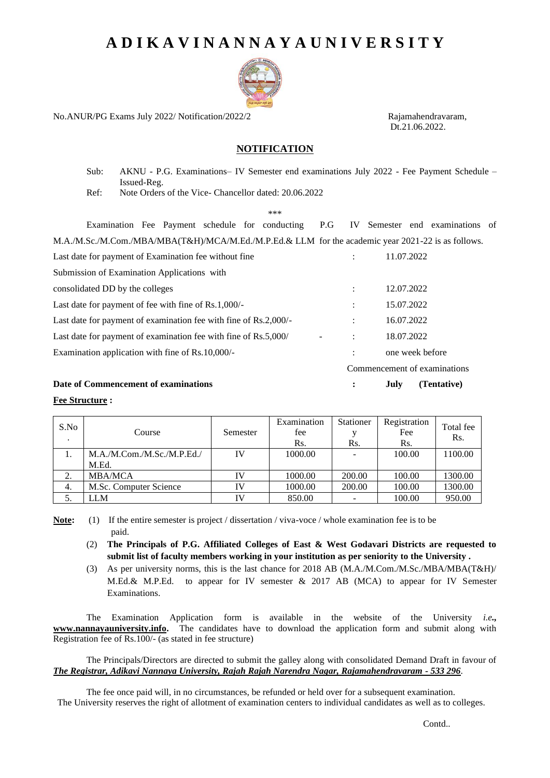# **A D I K A V I N A N N A Y A U N I V E R S I T Y**



No.ANUR/PG Exams July 2022/ Notification/2022/2 Rajamahendravaram,

Dt.21.06.2022.

## **NOTIFICATION**

Sub: AKNU - P.G. Examinations– IV Semester end examinations July 2022 - Fee Payment Schedule – Issued-Reg.

Ref: Note Orders of the Vice- Chancellor dated: 20.06.2022

\*\*\*

Examination Fee Payment schedule for conducting P.G IV Semester end examinations of M.A./M.Sc./M.Com./MBA/MBA(T&H)/MCA/M.Ed./M.P.Ed.& LLM for the academic year 2021-22 is as follows. Last date for payment of Examination fee without fine  $\qquad \qquad$  : 11.07.2022 Submission of Examination Applications with consolidated DD by the colleges : 12.07.2022 Last date for payment of fee with fine of Rs.1,000/- : 15.07.2022 Last date for payment of examination fee with fine of Rs.2,000/- : 16.07.2022 Last date for payment of examination fee with fine of Rs.5,000/  $\cdot$  : 18.07.2022 Examination application with fine of Rs.10,000/- The state of the state one week before Commencement of examinations **Date of Commencement of examinations : July (Tentative)**

#### **Fee Structure :**

| S.No      | Course                              | Semester  | Examination<br>fee<br>Rs. | Stationer<br>Rs. | Registration<br>Fee<br>Rs. | Total fee<br>Rs. |
|-----------|-------------------------------------|-----------|---------------------------|------------------|----------------------------|------------------|
|           | M.A./M.Com./M.Sc./M.P.Ed./<br>M.Ed. | IV        | 1000.00                   |                  | 100.00                     | 1100.00          |
| $\bigcap$ | <b>MBA/MCA</b>                      | IV        | 1000.00                   | 200.00           | 100.00                     | 1300.00          |
| 4.        | M.Sc. Computer Science              | IV        | 1000.00                   | 200.00           | 100.00                     | 1300.00          |
|           | LLM                                 | <b>IV</b> | 850.00                    |                  | 100.00                     | 950.00           |

**Note:** (1) If the entire semester is project / dissertation / viva-voce / whole examination fee is to be paid.

- (2) **The Principals of P.G. Affiliated Colleges of East & West Godavari Districts are requested to submit list of faculty members working in your institution as per seniority to the University .**
- (3) As per university norms, this is the last chance for 2018 AB (M.A./M.Com./M.Sc./MBA/MBA(T&H)/ M.Ed.& M.P.Ed. to appear for IV semester & 2017 AB (MCA) to appear for IV Semester Examinations.

The Examination Application form is available in the website of the University *i.e.,* **www.nannayauniversity.info.** The candidates have to download the application form and submit along with Registration fee of Rs.100/- (as stated in fee structure)

The Principals/Directors are directed to submit the galley along with consolidated Demand Draft in favour of *The Registrar, Adikavi Nannaya University, Rajah Rajah Narendra Nagar, Rajamahendravaram - 533 296*.

The fee once paid will, in no circumstances, be refunded or held over for a subsequent examination. The University reserves the right of allotment of examination centers to individual candidates as well as to colleges.